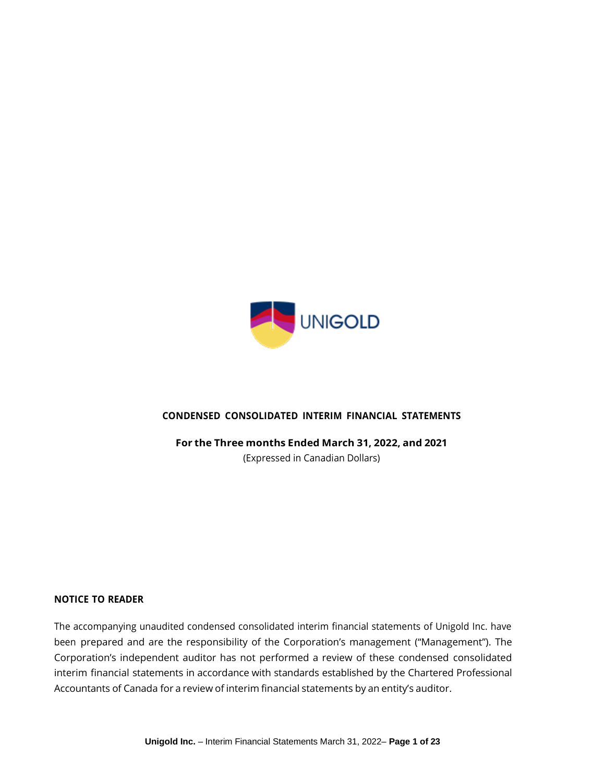

## **CONDENSED CONSOLIDATED INTERIM FINANCIAL STATEMENTS**

**For the Three months Ended March 31, 2022, and 2021**

(Expressed in Canadian Dollars)

#### **NOTICE TO READER**

The accompanying unaudited condensed consolidated interim financial statements of Unigold Inc. have been prepared and are the responsibility of the Corporation's management ("Management"). The Corporation's independent auditor has not performed a review of these condensed consolidated interim financial statements in accordance with standards established by the Chartered Professional Accountants of Canada for a review of interim financial statements by an entity's auditor.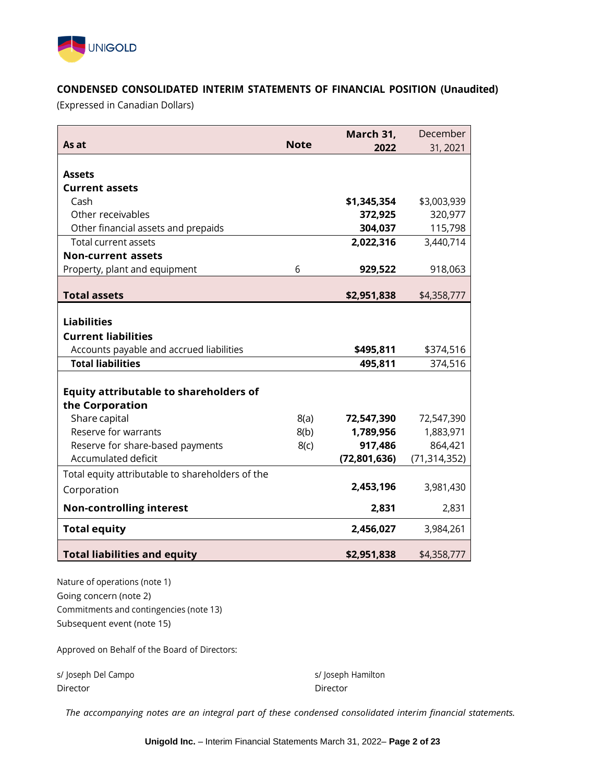

# **CONDENSED CONSOLIDATED INTERIM STATEMENTS OF FINANCIAL POSITION (Unaudited)**

(Expressed in Canadian Dollars)

|                                                  |             | March 31,      | December       |
|--------------------------------------------------|-------------|----------------|----------------|
| As at                                            | <b>Note</b> | 2022           | 31, 2021       |
|                                                  |             |                |                |
| <b>Assets</b>                                    |             |                |                |
| <b>Current assets</b>                            |             |                |                |
| Cash                                             |             | \$1,345,354    | \$3,003,939    |
| Other receivables                                |             | 372,925        | 320,977        |
| Other financial assets and prepaids              |             | 304,037        | 115,798        |
| <b>Total current assets</b>                      |             | 2,022,316      | 3,440,714      |
| <b>Non-current assets</b>                        |             |                |                |
| Property, plant and equipment                    | 6           | 929,522        | 918,063        |
|                                                  |             |                |                |
| <b>Total assets</b>                              |             | \$2,951,838    | \$4,358,777    |
|                                                  |             |                |                |
| <b>Liabilities</b>                               |             |                |                |
| <b>Current liabilities</b>                       |             |                |                |
| Accounts payable and accrued liabilities         |             | \$495,811      | \$374,516      |
| <b>Total liabilities</b>                         |             | 495,811        | 374,516        |
|                                                  |             |                |                |
| <b>Equity attributable to shareholders of</b>    |             |                |                |
| the Corporation                                  |             |                |                |
| Share capital                                    | 8(a)        | 72,547,390     | 72,547,390     |
| Reserve for warrants                             | 8(b)        | 1,789,956      | 1,883,971      |
| Reserve for share-based payments                 | 8(c)        | 917,486        | 864,421        |
| Accumulated deficit                              |             | (72, 801, 636) | (71, 314, 352) |
| Total equity attributable to shareholders of the |             |                |                |
| Corporation                                      |             | 2,453,196      | 3,981,430      |
| <b>Non-controlling interest</b>                  |             | 2,831          | 2,831          |
| <b>Total equity</b>                              |             | 2,456,027      | 3,984,261      |
| <b>Total liabilities and equity</b>              |             | \$2,951,838    | \$4,358,777    |

Nature of operations (note 1) Going concern (note 2) Commitments and contingencies (note 13) Subsequent event (note 15)

Approved on Behalf of the Board of Directors:

s/ Joseph Del Campo s/ Joseph Hamilton Director Director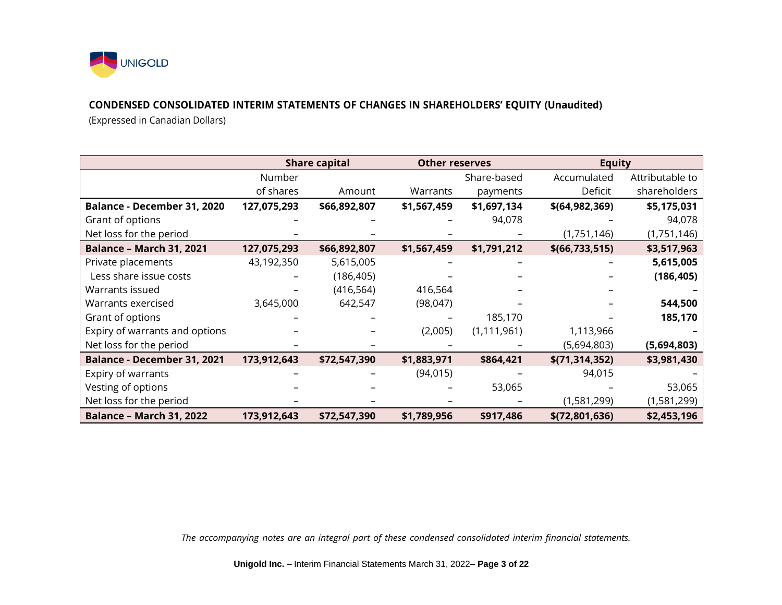

## **CONDENSED CONSOLIDATED INTERIM STATEMENTS OF CHANGES IN SHAREHOLDERS' EQUITY (Unaudited)**

(Expressed in Canadian Dollars)

|                                    |             | <b>Share capital</b> | <b>Other reserves</b> |               | <b>Equity</b>    |                 |
|------------------------------------|-------------|----------------------|-----------------------|---------------|------------------|-----------------|
|                                    | Number      |                      |                       | Share-based   | Accumulated      | Attributable to |
|                                    | of shares   | Amount               | Warrants              | payments      | Deficit          | shareholders    |
| Balance - December 31, 2020        | 127,075,293 | \$66,892,807         | \$1,567,459           | \$1,697,134   | \$(64, 982, 369) | \$5,175,031     |
| Grant of options                   |             |                      |                       | 94,078        |                  | 94,078          |
| Net loss for the period            |             |                      |                       |               | (1,751,146)      | (1,751,146)     |
| <b>Balance - March 31, 2021</b>    | 127,075,293 | \$66,892,807         | \$1,567,459           | \$1,791,212   | \$(66, 733, 515) | \$3,517,963     |
| Private placements                 | 43,192,350  | 5,615,005            |                       |               |                  | 5,615,005       |
| Less share issue costs             |             | (186, 405)           |                       |               |                  | (186, 405)      |
| Warrants issued                    |             | (416, 564)           | 416,564               |               |                  |                 |
| Warrants exercised                 | 3,645,000   | 642,547              | (98, 047)             |               |                  | 544,500         |
| Grant of options                   |             |                      |                       | 185,170       |                  | 185,170         |
| Expiry of warrants and options     |             |                      | (2,005)               | (1, 111, 961) | 1,113,966        |                 |
| Net loss for the period            |             |                      |                       |               | (5,694,803)      | (5,694,803)     |
| <b>Balance - December 31, 2021</b> | 173,912,643 | \$72,547,390         | \$1,883,971           | \$864,421     | \$(71, 314, 352) | \$3,981,430     |
| Expiry of warrants                 |             |                      | (94, 015)             |               | 94,015           |                 |
| Vesting of options                 |             |                      |                       | 53,065        |                  | 53,065          |
| Net loss for the period            |             |                      |                       |               | (1,581,299)      | (1,581,299)     |
| <b>Balance - March 31, 2022</b>    | 173,912,643 | \$72,547,390         | \$1,789,956           | \$917,486     | \$(72,801,636)   | \$2,453,196     |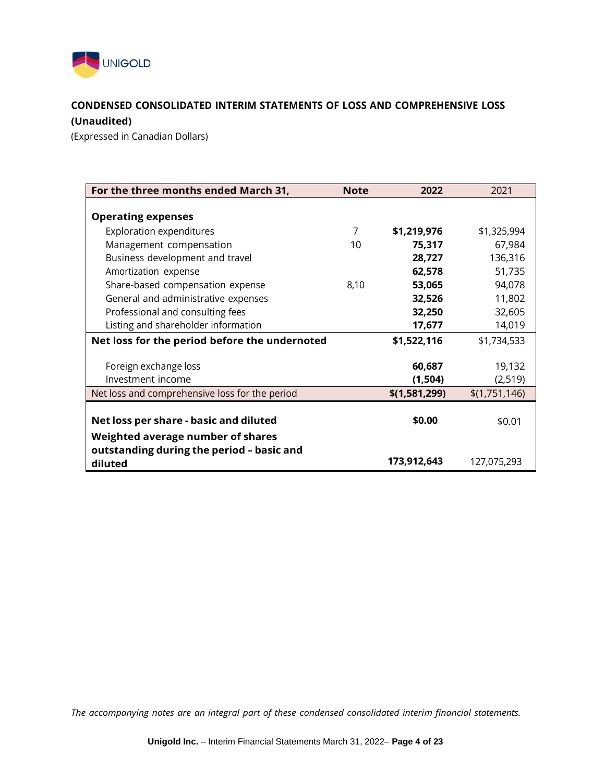

# **CONDENSED CONSOLIDATED INTERIM STATEMENTS OF LOSS AND COMPREHENSIVE LOSS (Unaudited)**

(Expressed in Canadian Dollars)

| For the three months ended March 31,           | <b>Note</b> | 2022          | 2021          |
|------------------------------------------------|-------------|---------------|---------------|
|                                                |             |               |               |
| <b>Operating expenses</b>                      |             |               |               |
| <b>Exploration expenditures</b>                | 7           | \$1,219,976   | \$1,325,994   |
| Management compensation                        | 10          | 75,317        | 67,984        |
| Business development and travel                |             | 28,727        | 136,316       |
| Amortization expense                           |             | 62,578        | 51,735        |
| Share-based compensation expense               | 8,10        | 53,065        | 94,078        |
| General and administrative expenses            |             | 32,526        | 11,802        |
| Professional and consulting fees               |             | 32,250        | 32,605        |
| Listing and shareholder information            |             | 17,677        | 14,019        |
| Net loss for the period before the undernoted  |             | \$1,522,116   | \$1,734,533   |
|                                                |             |               |               |
| Foreign exchange loss                          |             | 60,687        | 19,132        |
| Investment income                              |             | (1, 504)      | (2,519)       |
| Net loss and comprehensive loss for the period |             | \$(1,581,299) | \$(1,751,146) |
|                                                |             |               |               |
| Net loss per share - basic and diluted         |             | \$0.00        | \$0.01        |
| Weighted average number of shares              |             |               |               |
| outstanding during the period - basic and      |             |               |               |
| diluted                                        |             | 173,912,643   | 127,075,293   |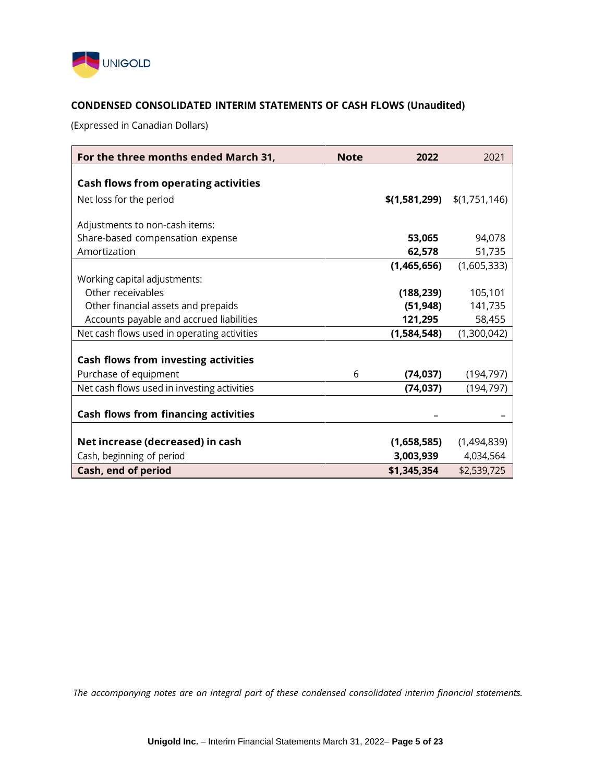

# **CONDENSED CONSOLIDATED INTERIM STATEMENTS OF CASH FLOWS (Unaudited)**

(Expressed in Canadian Dollars)

| For the three months ended March 31,        | <b>Note</b> | 2022        | 2021                          |
|---------------------------------------------|-------------|-------------|-------------------------------|
|                                             |             |             |                               |
| <b>Cash flows from operating activities</b> |             |             |                               |
| Net loss for the period                     |             |             | $$(1,581,299)$ $$(1,751,146)$ |
|                                             |             |             |                               |
| Adjustments to non-cash items:              |             |             |                               |
| Share-based compensation expense            |             | 53,065      | 94,078                        |
| Amortization                                |             | 62,578      | 51,735                        |
|                                             |             | (1,465,656) | (1,605,333)                   |
| Working capital adjustments:                |             |             |                               |
| Other receivables                           |             | (188, 239)  | 105,101                       |
| Other financial assets and prepaids         |             | (51, 948)   | 141,735                       |
| Accounts payable and accrued liabilities    |             | 121,295     | 58,455                        |
| Net cash flows used in operating activities |             | (1,584,548) | (1,300,042)                   |
|                                             |             |             |                               |
| Cash flows from investing activities        |             |             |                               |
| Purchase of equipment                       | 6           | (74, 037)   | (194, 797)                    |
| Net cash flows used in investing activities |             | (74, 037)   | (194, 797)                    |
|                                             |             |             |                               |
| Cash flows from financing activities        |             |             |                               |
|                                             |             |             |                               |
| Net increase (decreased) in cash            |             | (1,658,585) | (1,494,839)                   |
| Cash, beginning of period                   |             | 3,003,939   | 4,034,564                     |
| Cash, end of period                         |             | \$1,345,354 | \$2,539,725                   |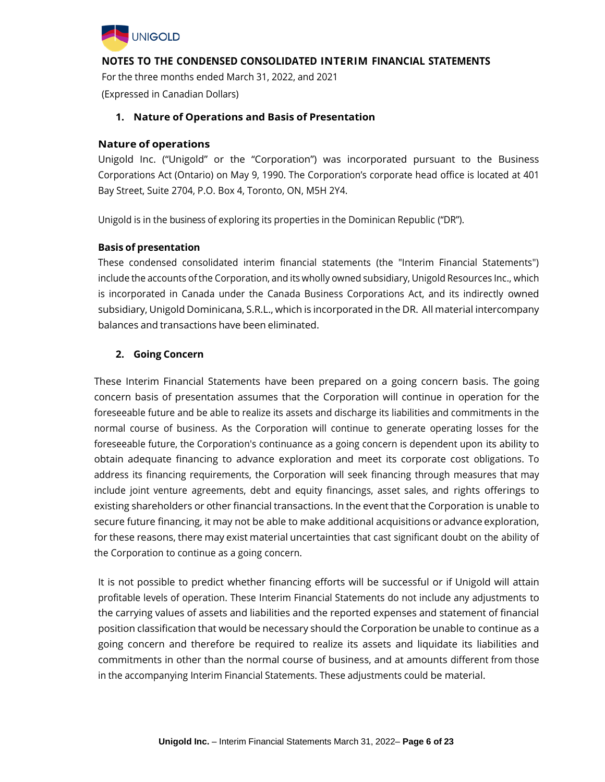

For the three months ended March 31, 2022, and 2021 (Expressed in Canadian Dollars)

### **1. Nature of Operations and Basis of Presentation**

#### **Nature of operations**

Unigold Inc. ("Unigold" or the "Corporation") was incorporated pursuant to the Business Corporations Act (Ontario) on May 9, 1990. The Corporation's corporate head office is located at 401 Bay Street, Suite 2704, P.O. Box 4, Toronto, ON, M5H 2Y4.

Unigold is in the business of exploring its properties in the Dominican Republic ("DR").

#### **Basis of presentation**

These condensed consolidated interim financial statements (the "Interim Financial Statements") include the accounts ofthe Corporation, and its wholly owned subsidiary, Unigold Resources Inc., which is incorporated in Canada under the Canada Business Corporations Act, and its indirectly owned subsidiary, Unigold Dominicana, S.R.L., which is incorporated in the DR. All material intercompany balances and transactions have been eliminated.

#### **2. Going Concern**

These Interim Financial Statements have been prepared on a going concern basis. The going concern basis of presentation assumes that the Corporation will continue in operation for the foreseeable future and be able to realize its assets and discharge its liabilities and commitments in the normal course of business. As the Corporation will continue to generate operating losses for the foreseeable future, the Corporation's continuance as a going concern is dependent upon its ability to obtain adequate financing to advance exploration and meet its corporate cost obligations. To address its financing requirements, the Corporation will seek financing through measures that may include joint venture agreements, debt and equity financings, asset sales, and rights offerings to existing shareholders or other financial transactions. In the event that the Corporation is unable to secure future financing, it may not be able to make additional acquisitions or advance exploration, for these reasons, there may exist material uncertainties that cast significant doubt on the ability of the Corporation to continue as a going concern.

It is not possible to predict whether financing efforts will be successful or if Unigold will attain profitable levels of operation. These Interim Financial Statements do not include any adjustments to the carrying values of assets and liabilities and the reported expenses and statement of financial position classification that would be necessary should the Corporation be unable to continue as a going concern and therefore be required to realize its assets and liquidate its liabilities and commitments in other than the normal course of business, and at amounts different from those in the accompanying Interim Financial Statements. These adjustments could be material.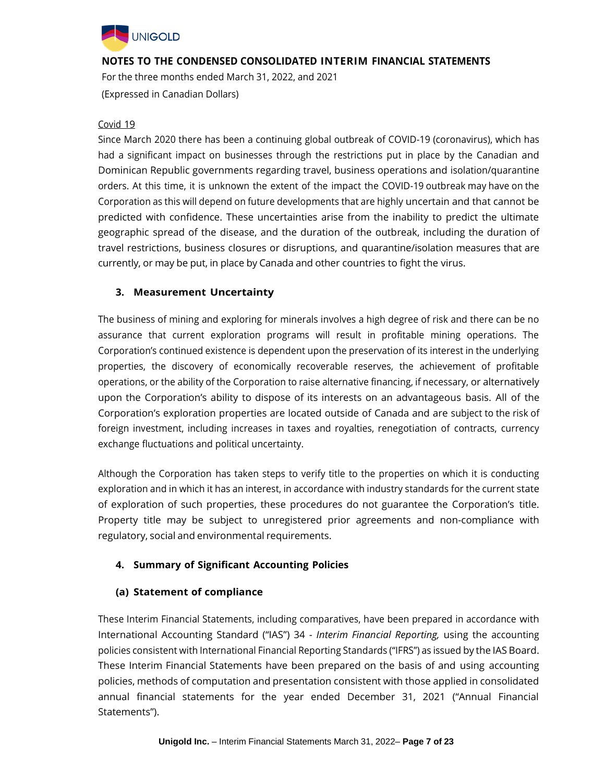

For the three months ended March 31, 2022, and 2021 (Expressed in Canadian Dollars)

#### Covid 19

Since March 2020 there has been a continuing global outbreak of COVID-19 (coronavirus), which has had a significant impact on businesses through the restrictions put in place by the Canadian and Dominican Republic governments regarding travel, business operations and isolation/quarantine orders. At this time, it is unknown the extent of the impact the COVID-19 outbreak may have on the Corporation as this will depend on future developments that are highly uncertain and that cannot be predicted with confidence. These uncertainties arise from the inability to predict the ultimate geographic spread of the disease, and the duration of the outbreak, including the duration of travel restrictions, business closures or disruptions, and quarantine/isolation measures that are currently, or may be put, in place by Canada and other countries to fight the virus.

# **3. Measurement Uncertainty**

The business of mining and exploring for minerals involves a high degree of risk and there can be no assurance that current exploration programs will result in profitable mining operations. The Corporation's continued existence is dependent upon the preservation of its interest in the underlying properties, the discovery of economically recoverable reserves, the achievement of profitable operations, or the ability of the Corporation to raise alternative financing, if necessary, or alternatively upon the Corporation's ability to dispose of its interests on an advantageous basis. All of the Corporation's exploration properties are located outside of Canada and are subject to the risk of foreign investment, including increases in taxes and royalties, renegotiation of contracts, currency exchange fluctuations and political uncertainty.

Although the Corporation has taken steps to verify title to the properties on which it is conducting exploration and in which it has an interest, in accordance with industry standards for the current state of exploration of such properties, these procedures do not guarantee the Corporation's title. Property title may be subject to unregistered prior agreements and non-compliance with regulatory, social and environmental requirements.

# **4. Summary of Significant Accounting Policies**

## **(a) Statement of compliance**

These Interim Financial Statements, including comparatives, have been prepared in accordance with International Accounting Standard ("IAS") 34 - *Interim Financial Reporting,* using the accounting policies consistent with International Financial Reporting Standards ("IFRS") as issued by the IAS Board. These Interim Financial Statements have been prepared on the basis of and using accounting policies, methods of computation and presentation consistent with those applied in consolidated annual financial statements for the year ended December 31, 2021 ("Annual Financial Statements").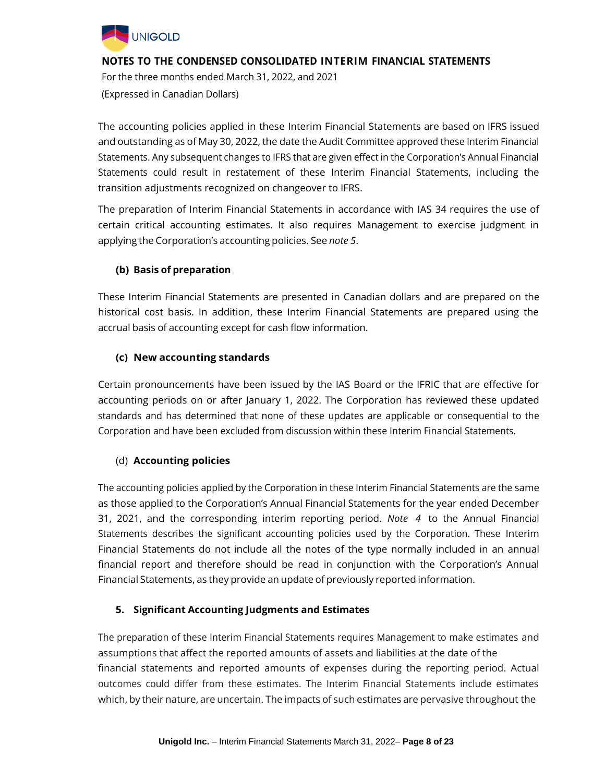

For the three months ended March 31, 2022, and 2021 (Expressed in Canadian Dollars)

The accounting policies applied in these Interim Financial Statements are based on IFRS issued and outstanding as of May 30, 2022, the date the Audit Committee approved these Interim Financial Statements. Any subsequent changes to IFRS that are given effect in the Corporation's Annual Financial Statements could result in restatement of these Interim Financial Statements, including the transition adjustments recognized on changeover to IFRS.

The preparation of Interim Financial Statements in accordance with IAS 34 requires the use of certain critical accounting estimates. It also requires Management to exercise judgment in applying the Corporation's accounting policies. See *note 5*.

# **(b) Basis of preparation**

These Interim Financial Statements are presented in Canadian dollars and are prepared on the historical cost basis. In addition, these Interim Financial Statements are prepared using the accrual basis of accounting except for cash flow information.

## **(c) New accounting standards**

Certain pronouncements have been issued by the IAS Board or the IFRIC that are effective for accounting periods on or after January 1, 2022. The Corporation has reviewed these updated standards and has determined that none of these updates are applicable or consequential to the Corporation and have been excluded from discussion within these Interim Financial Statements.

## (d) **Accounting policies**

The accounting policies applied by the Corporation in these Interim Financial Statements are the same as those applied to the Corporation's Annual Financial Statements for the year ended December 31, 2021, and the corresponding interim reporting period. *Note 4* to the Annual Financial Statements describes the significant accounting policies used by the Corporation. These Interim Financial Statements do not include all the notes of the type normally included in an annual financial report and therefore should be read in conjunction with the Corporation's Annual Financial Statements, as they provide an update of previously reported information.

## **5. Significant Accounting Judgments and Estimates**

The preparation of these Interim Financial Statements requires Management to make estimates and assumptions that affect the reported amounts of assets and liabilities at the date of the financial statements and reported amounts of expenses during the reporting period. Actual outcomes could differ from these estimates. The Interim Financial Statements include estimates which, by their nature, are uncertain. The impacts of such estimates are pervasive throughout the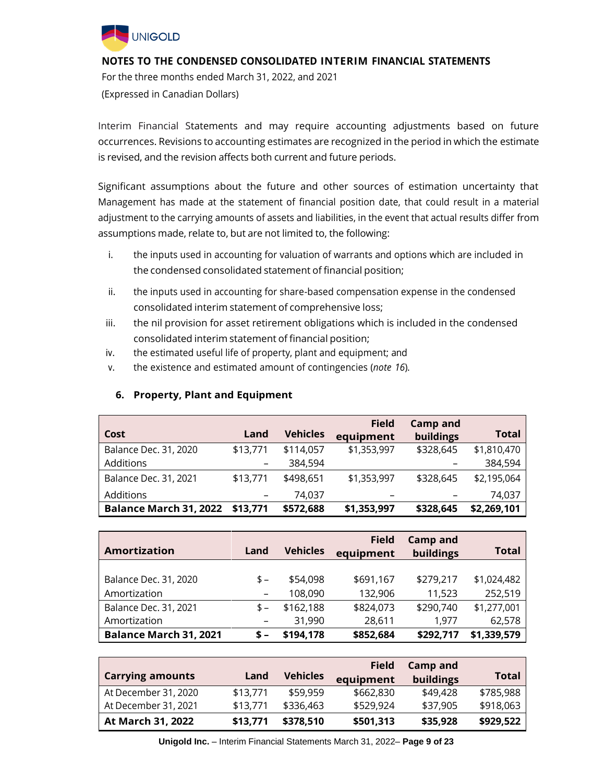

For the three months ended March 31, 2022, and 2021 (Expressed in Canadian Dollars)

Interim Financial Statements and may require accounting adjustments based on future occurrences. Revisions to accounting estimates are recognized in the period in which the estimate is revised, and the revision affects both current and future periods.

Significant assumptions about the future and other sources of estimation uncertainty that Management has made at the statement of financial position date, that could result in a material adjustment to the carrying amounts of assets and liabilities, in the event that actual results differ from assumptions made, relate to, but are not limited to, the following:

- i. the inputs used in accounting for valuation of warrants and options which are included in the condensed consolidated statement of financial position;
- ii. the inputs used in accounting for share-based compensation expense in the condensed consolidated interim statement of comprehensive loss;
- iii. the nil provision for asset retirement obligations which is included in the condensed consolidated interim statement of financial position;
- iv. the estimated useful life of property, plant and equipment; and
- v. the existence and estimated amount of contingencies (*note 16*).

| Cost                          | Land     | <b>Vehicles</b> | <b>Field</b><br>equipment | <b>Camp and</b><br>buildings | <b>Total</b> |
|-------------------------------|----------|-----------------|---------------------------|------------------------------|--------------|
| Balance Dec. 31, 2020         | \$13,771 | \$114,057       | \$1,353,997               | \$328,645                    | \$1,810,470  |
| Additions                     |          | 384,594         |                           |                              | 384,594      |
| <b>Balance Dec. 31, 2021</b>  | \$13,771 | \$498,651       | \$1,353,997               | \$328,645                    | \$2,195,064  |
| Additions                     |          | 74.037          |                           |                              | 74,037       |
| <b>Balance March 31, 2022</b> | \$13,771 | \$572,688       | \$1,353,997               | \$328,645                    | \$2,269,101  |

## **6. Property, Plant and Equipment**

|                               |       |                 | <b>Field</b> | <b>Camp and</b> |              |
|-------------------------------|-------|-----------------|--------------|-----------------|--------------|
| <b>Amortization</b>           | Land  | <b>Vehicles</b> | equipment    | buildings       | <b>Total</b> |
|                               |       |                 |              |                 |              |
| Balance Dec. 31, 2020         | $S -$ | \$54,098        | \$691,167    | \$279,217       | \$1,024,482  |
| Amortization                  |       | 108,090         | 132,906      | 11,523          | 252,519      |
| <b>Balance Dec. 31, 2021</b>  | \$-   | \$162,188       | \$824,073    | \$290,740       | \$1,277,001  |
| Amortization                  |       | 31,990          | 28,611       | 1,977           | 62,578       |
| <b>Balance March 31, 2021</b> | $S -$ | \$194,178       | \$852,684    | \$292,717       | \$1,339,579  |

|                         |          |                 | <b>Field</b> | Camp and  |           |
|-------------------------|----------|-----------------|--------------|-----------|-----------|
| <b>Carrying amounts</b> | Land     | <b>Vehicles</b> | equipment    | buildings | Total     |
| At December 31, 2020    | \$13,771 | \$59,959        | \$662,830    | \$49,428  | \$785,988 |
| At December 31, 2021    | \$13,771 | \$336,463       | \$529,924    | \$37,905  | \$918,063 |
| At March 31, 2022       | \$13,771 | \$378,510       | \$501,313    | \$35,928  | \$929,522 |

**Unigold Inc.** – Interim Financial Statements March 31, 2022– **Page 9 of 23**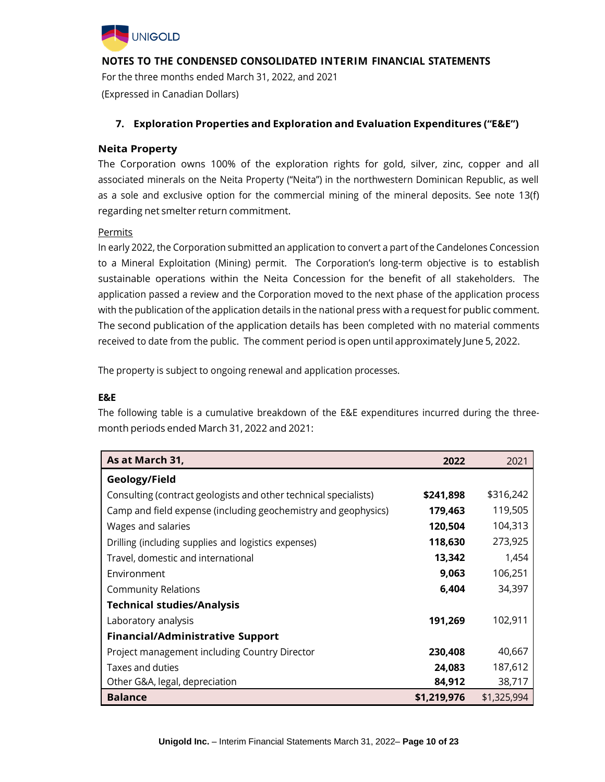

For the three months ended March 31, 2022, and 2021 (Expressed in Canadian Dollars)

## **7. Exploration Properties and Exploration and Evaluation Expenditures ("E&E")**

#### **Neita Property**

The Corporation owns 100% of the exploration rights for gold, silver, zinc, copper and all associated minerals on the Neita Property ("Neita") in the northwestern Dominican Republic, as well as a sole and exclusive option for the commercial mining of the mineral deposits. See note 13(f) regarding net smelter return commitment.

#### Permits

In early 2022, the Corporation submitted an application to convert a part of the Candelones Concession to a Mineral Exploitation (Mining) permit. The Corporation's long-term objective is to establish sustainable operations within the Neita Concession for the benefit of all stakeholders. The application passed a review and the Corporation moved to the next phase of the application process with the publication of the application details in the national press with a request for public comment. The second publication of the application details has been completed with no material comments received to date from the public. The comment period is open until approximately June 5, 2022.

The property is subject to ongoing renewal and application processes.

#### **E&E**

The following table is a cumulative breakdown of the E&E expenditures incurred during the threemonth periods ended March 31, 2022 and 2021:

| As at March 31,                                                  | 2022        | 2021        |
|------------------------------------------------------------------|-------------|-------------|
| Geology/Field                                                    |             |             |
| Consulting (contract geologists and other technical specialists) | \$241,898   | \$316,242   |
| Camp and field expense (including geochemistry and geophysics)   | 179,463     | 119,505     |
| Wages and salaries                                               | 120,504     | 104,313     |
| Drilling (including supplies and logistics expenses)             | 118,630     | 273,925     |
| Travel, domestic and international                               | 13,342      | 1,454       |
| Environment                                                      | 9,063       | 106,251     |
| <b>Community Relations</b>                                       | 6,404       | 34,397      |
| <b>Technical studies/Analysis</b>                                |             |             |
| Laboratory analysis                                              | 191,269     | 102,911     |
| <b>Financial/Administrative Support</b>                          |             |             |
| Project management including Country Director                    | 230,408     | 40,667      |
| Taxes and duties                                                 | 24,083      | 187,612     |
| Other G&A, legal, depreciation                                   | 84,912      | 38,717      |
| <b>Balance</b>                                                   | \$1,219,976 | \$1,325,994 |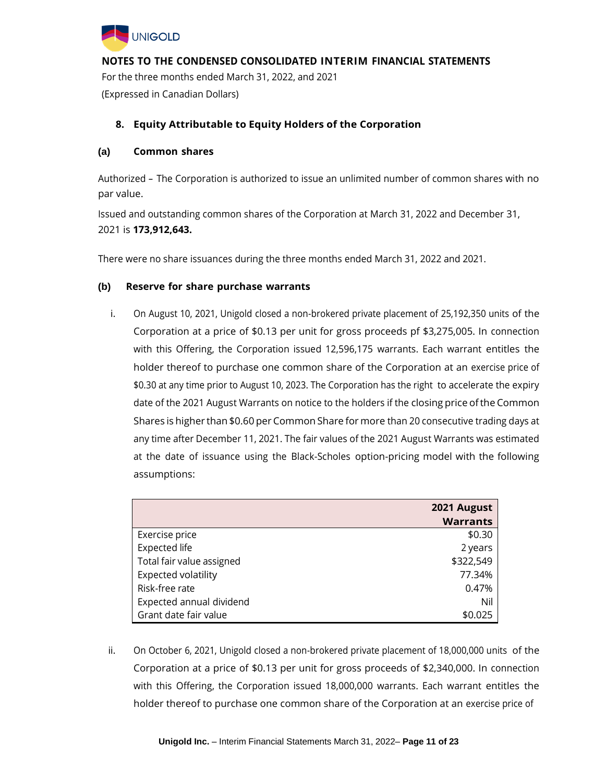

**NOTES TO THE CONDENSED CONSOLIDATED INTERIM FINANCIAL STATEMENTS** For the three months ended March 31, 2022, and 2021 (Expressed in Canadian Dollars)

## **8. Equity Attributable to Equity Holders of the Corporation**

#### **(a) Common shares**

Authorized *–* The Corporation is authorized to issue an unlimited number of common shares with no par value.

Issued and outstanding common shares of the Corporation at March 31, 2022 and December 31, 2021 is **173,912,643.**

There were no share issuances during the three months ended March 31, 2022 and 2021.

#### **(b) Reserve for share purchase warrants**

i. On August 10, 2021, Unigold closed a non-brokered private placement of 25,192,350 units of the Corporation at a price of \$0.13 per unit for gross proceeds pf \$3,275,005. In connection with this Offering, the Corporation issued 12,596,175 warrants. Each warrant entitles the holder thereof to purchase one common share of the Corporation at an exercise price of \$0.30 at any time prior to August 10, 2023. The Corporation has the right to accelerate the expiry date of the 2021 August Warrants on notice to the holders if the closing price ofthe Common Shares is higher than \$0.60 per Common Share for more than 20 consecutive trading days at any time after December 11, 2021. The fair values of the 2021 August Warrants was estimated at the date of issuance using the Black-Scholes option-pricing model with the following assumptions:

|                            | 2021 August     |
|----------------------------|-----------------|
|                            | <b>Warrants</b> |
| Exercise price             | \$0.30          |
| <b>Expected life</b>       | 2 years         |
| Total fair value assigned  | \$322,549       |
| <b>Expected volatility</b> | 77.34%          |
| Risk-free rate             | 0.47%           |
| Expected annual dividend   | Nil             |
| Grant date fair value      | \$0.025         |

ii. On October 6, 2021, Unigold closed a non-brokered private placement of 18,000,000 units of the Corporation at a price of \$0.13 per unit for gross proceeds of \$2,340,000. In connection with this Offering, the Corporation issued 18,000,000 warrants. Each warrant entitles the holder thereof to purchase one common share of the Corporation at an exercise price of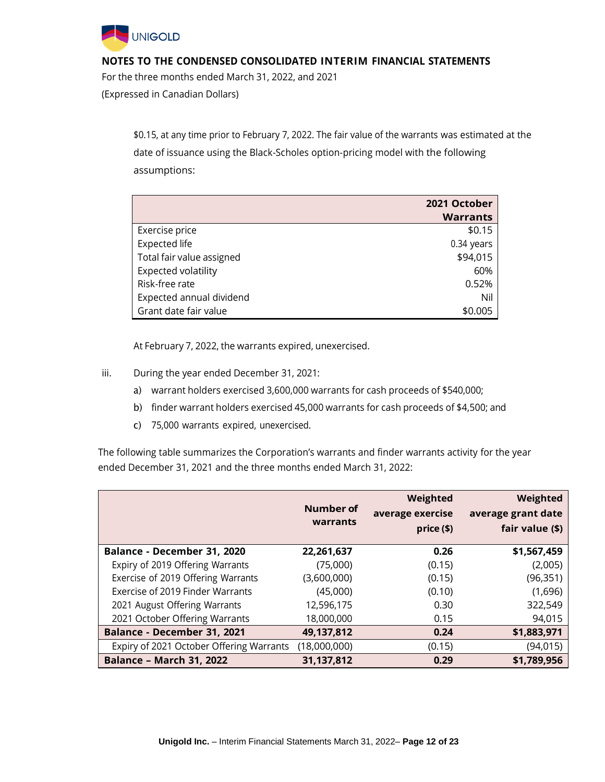

For the three months ended March 31, 2022, and 2021 (Expressed in Canadian Dollars)

> \$0.15, at any time prior to February 7, 2022. The fair value of the warrants was estimated at the date of issuance using the Black-Scholes option-pricing model with the following assumptions:

|                            | 2021 October    |
|----------------------------|-----------------|
|                            | <b>Warrants</b> |
| Exercise price             | \$0.15          |
| <b>Expected life</b>       | 0.34 years      |
| Total fair value assigned  | \$94,015        |
| <b>Expected volatility</b> | 60%             |
| Risk-free rate             | 0.52%           |
| Expected annual dividend   | Nil             |
| Grant date fair value      | \$0.005         |

At February 7, 2022, the warrants expired, unexercised.

- iii. During the year ended December 31, 2021:
	- a) warrant holders exercised 3,600,000 warrants for cash proceeds of \$540,000;
	- b) finder warrant holders exercised 45,000 warrants for cash proceeds of \$4,500; and
	- c) 75,000 warrants expired, unexercised.

The following table summarizes the Corporation's warrants and finder warrants activity for the year ended December 31, 2021 and the three months ended March 31, 2022:

|                                          | Number of<br>warrants | Weighted<br>average exercise<br>price (\$) | Weighted<br>average grant date<br>fair value (\$) |
|------------------------------------------|-----------------------|--------------------------------------------|---------------------------------------------------|
| Balance - December 31, 2020              | 22,261,637            | 0.26                                       | \$1,567,459                                       |
| Expiry of 2019 Offering Warrants         | (75,000)              | (0.15)                                     | (2,005)                                           |
| Exercise of 2019 Offering Warrants       | (3,600,000)           | (0.15)                                     | (96, 351)                                         |
| Exercise of 2019 Finder Warrants         | (45,000)              | (0.10)                                     | (1,696)                                           |
| 2021 August Offering Warrants            | 12,596,175            | 0.30                                       | 322,549                                           |
| 2021 October Offering Warrants           | 18,000,000            | 0.15                                       | 94,015                                            |
| Balance - December 31, 2021              | 49,137,812            | 0.24                                       | \$1,883,971                                       |
| Expiry of 2021 October Offering Warrants | (18,000,000)          | (0.15)                                     | (94, 015)                                         |
| <b>Balance - March 31, 2022</b>          | 31,137,812            | 0.29                                       | \$1,789,956                                       |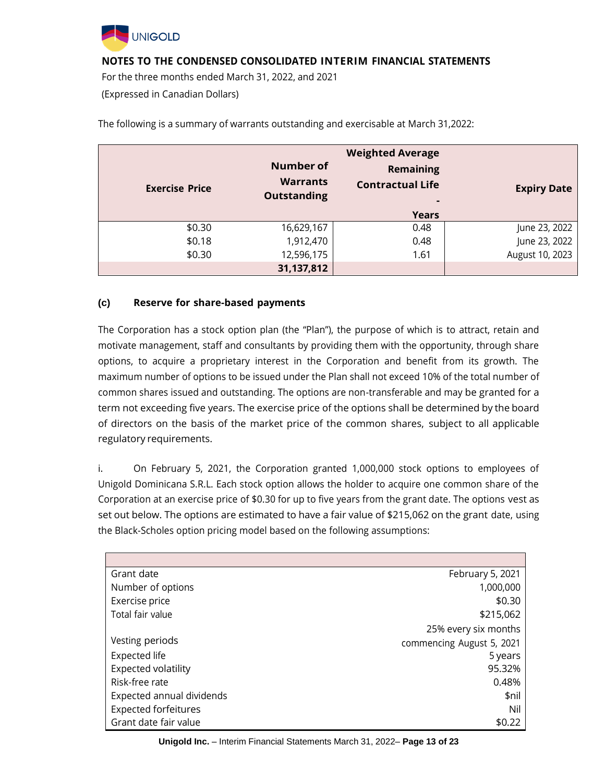

For the three months ended March 31, 2022, and 2021

(Expressed in Canadian Dollars)

| <b>Exercise Price</b> | <b>Number of</b><br><b>Warrants</b><br><b>Outstanding</b> | <b>Weighted Average</b><br><b>Remaining</b><br><b>Contractual Life</b><br>۰ | <b>Expiry Date</b> |
|-----------------------|-----------------------------------------------------------|-----------------------------------------------------------------------------|--------------------|
|                       |                                                           | <b>Years</b>                                                                |                    |
| \$0.30                | 16,629,167                                                | 0.48                                                                        | June 23, 2022      |
| \$0.18                | 1,912,470                                                 | 0.48                                                                        | June 23, 2022      |
| \$0.30                | 12,596,175                                                | 1.61                                                                        | August 10, 2023    |
|                       | 31,137,812                                                |                                                                             |                    |

The following is a summary of warrants outstanding and exercisable at March 31,2022:

### **(c) Reserve for share-based payments**

The Corporation has a stock option plan (the "Plan"), the purpose of which is to attract, retain and motivate management, staff and consultants by providing them with the opportunity, through share options, to acquire a proprietary interest in the Corporation and benefit from its growth. The maximum number of options to be issued under the Plan shall not exceed 10% of the total number of common shares issued and outstanding. The options are non-transferable and may be granted for a term not exceeding five years. The exercise price of the options shall be determined by the board of directors on the basis of the market price of the common shares, subject to all applicable regulatory requirements.

i. On February 5, 2021, the Corporation granted 1,000,000 stock options to employees of Unigold Dominicana S.R.L. Each stock option allows the holder to acquire one common share of the Corporation at an exercise price of \$0.30 for up to five years from the grant date. The options vest as set out below. The options are estimated to have a fair value of \$215,062 on the grant date, using the Black-Scholes option pricing model based on the following assumptions:

| Grant date                  | February 5, 2021          |
|-----------------------------|---------------------------|
| Number of options           | 1,000,000                 |
| Exercise price              | \$0.30                    |
| Total fair value            | \$215,062                 |
|                             | 25% every six months      |
| Vesting periods             | commencing August 5, 2021 |
| Expected life               | 5 years                   |
| <b>Expected volatility</b>  | 95.32%                    |
| Risk-free rate              | 0.48%                     |
| Expected annual dividends   | \$nil                     |
| <b>Expected forfeitures</b> | Nil                       |
| Grant date fair value       | \$0.22                    |

**Unigold Inc.** – Interim Financial Statements March 31, 2022– **Page 13 of 23**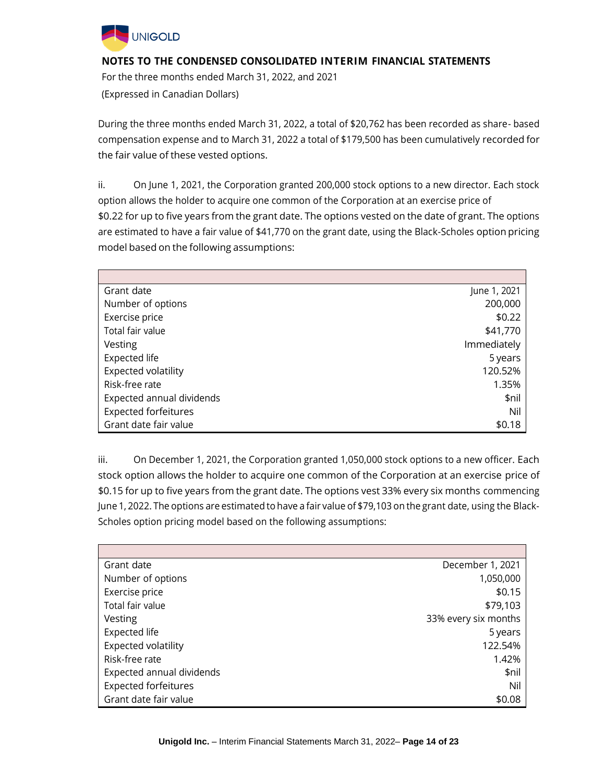

For the three months ended March 31, 2022, and 2021 (Expressed in Canadian Dollars)

During the three months ended March 31, 2022, a total of \$20,762 has been recorded as share- based compensation expense and to March 31, 2022 a total of \$179,500 has been cumulatively recorded for the fair value of these vested options.

ii. On June 1, 2021, the Corporation granted 200,000 stock options to a new director. Each stock option allows the holder to acquire one common of the Corporation at an exercise price of \$0.22 for up to five years from the grant date. The options vested on the date of grant. The options are estimated to have a fair value of \$41,770 on the grant date, using the Black-Scholes option pricing model based on the following assumptions:

| Grant date                  | June 1, 2021 |
|-----------------------------|--------------|
| Number of options           | 200,000      |
| Exercise price              | \$0.22       |
| Total fair value            | \$41,770     |
| Vesting                     | Immediately  |
| Expected life               | 5 years      |
| Expected volatility         | 120.52%      |
| Risk-free rate              | 1.35%        |
| Expected annual dividends   | \$nil        |
| <b>Expected forfeitures</b> | Nil          |
| Grant date fair value       | \$0.18       |

iii. On December 1, 2021, the Corporation granted 1,050,000 stock options to a new officer. Each stock option allows the holder to acquire one common of the Corporation at an exercise price of \$0.15 for up to five years from the grant date. The options vest 33% every six months commencing June 1, 2022. The options are estimated to have a fair value of \$79,103 on the grant date, using the Black-Scholes option pricing model based on the following assumptions:

| Grant date                  | December 1, 2021     |
|-----------------------------|----------------------|
| Number of options           | 1,050,000            |
| Exercise price              | \$0.15               |
| Total fair value            | \$79,103             |
| Vesting                     | 33% every six months |
| Expected life               | 5 years              |
| <b>Expected volatility</b>  | 122.54%              |
| Risk-free rate              | 1.42%                |
| Expected annual dividends   | \$nil                |
| <b>Expected forfeitures</b> | Nil                  |
| Grant date fair value       | \$0.08               |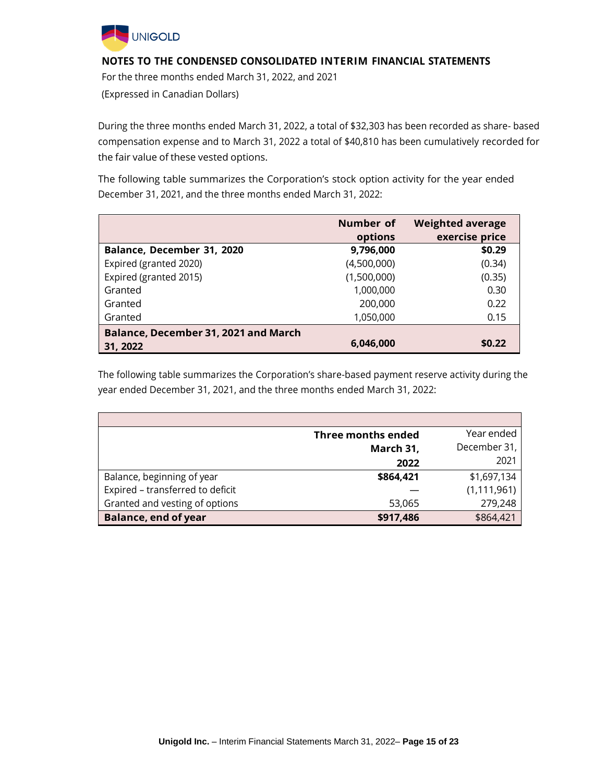

For the three months ended March 31, 2022, and 2021 (Expressed in Canadian Dollars)

During the three months ended March 31, 2022, a total of \$32,303 has been recorded as share- based compensation expense and to March 31, 2022 a total of \$40,810 has been cumulatively recorded for the fair value of these vested options.

The following table summarizes the Corporation's stock option activity for the year ended December 31, 2021, and the three months ended March 31, 2022:

|                                      | Number of<br>options | <b>Weighted average</b><br>exercise price |
|--------------------------------------|----------------------|-------------------------------------------|
| Balance, December 31, 2020           | 9,796,000            | \$0.29                                    |
| Expired (granted 2020)               | (4,500,000)          | (0.34)                                    |
| Expired (granted 2015)               | (1,500,000)          | (0.35)                                    |
| Granted                              | 1,000,000            | 0.30                                      |
| Granted                              | 200,000              | 0.22                                      |
| Granted                              | 1,050,000            | 0.15                                      |
| Balance, December 31, 2021 and March |                      |                                           |
| 31, 2022                             | 6,046,000            | \$0.22                                    |

The following table summarizes the Corporation's share-based payment reserve activity during the year ended December 31, 2021, and the three months ended March 31, 2022:

|                                  | <b>Three months ended</b> | Year ended    |
|----------------------------------|---------------------------|---------------|
|                                  | March 31,                 | December 31,  |
|                                  | 2022                      | 2021          |
| Balance, beginning of year       | \$864,421                 | \$1,697,134   |
| Expired - transferred to deficit |                           | (1, 111, 961) |
| Granted and vesting of options   | 53,065                    | 279,248       |
| <b>Balance, end of year</b>      | \$917,486                 | \$864,421     |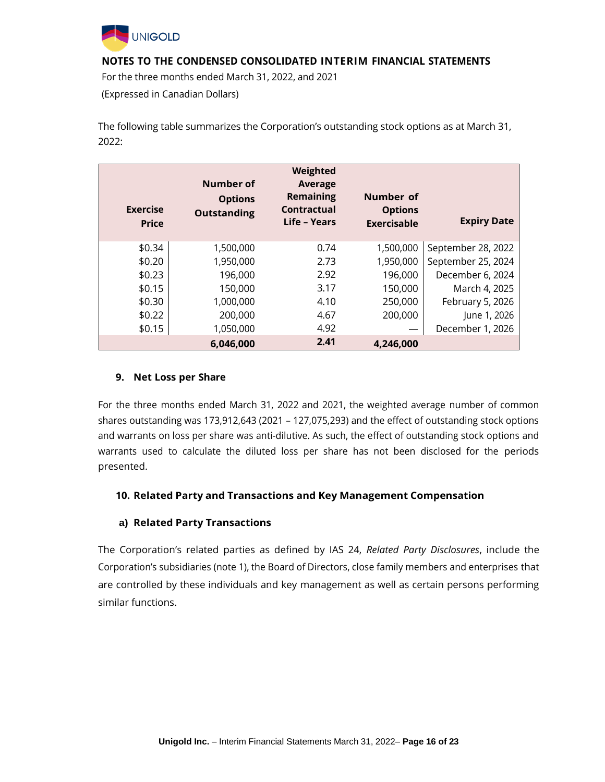

For the three months ended March 31, 2022, and 2021 (Expressed in Canadian Dollars)

The following table summarizes the Corporation's outstanding stock options as at March 31, 2022:

| <b>Exercise</b><br><b>Price</b> | Number of<br><b>Options</b><br><b>Outstanding</b> | Weighted<br>Average<br><b>Remaining</b><br>Contractual<br>Life - Years | Number of<br><b>Options</b><br><b>Exercisable</b> | <b>Expiry Date</b> |
|---------------------------------|---------------------------------------------------|------------------------------------------------------------------------|---------------------------------------------------|--------------------|
| \$0.34                          | 1,500,000                                         | 0.74                                                                   | 1,500,000                                         | September 28, 2022 |
| \$0.20                          | 1,950,000                                         | 2.73                                                                   | 1,950,000                                         | September 25, 2024 |
| \$0.23                          | 196,000                                           | 2.92                                                                   | 196,000                                           | December 6, 2024   |
| \$0.15                          | 150,000                                           | 3.17                                                                   | 150,000                                           | March 4, 2025      |
| \$0.30                          | 1,000,000                                         | 4.10                                                                   | 250,000                                           | February 5, 2026   |
| \$0.22                          | 200,000                                           | 4.67                                                                   | 200,000                                           | June 1, 2026       |
| \$0.15                          | 1,050,000                                         | 4.92                                                                   |                                                   | December 1, 2026   |
|                                 | 6,046,000                                         | 2.41                                                                   | 4,246,000                                         |                    |

### **9. Net Loss per Share**

For the three months ended March 31, 2022 and 2021, the weighted average number of common shares outstanding was 173,912,643 (2021 – 127,075,293) and the effect of outstanding stock options and warrants on loss per share was anti-dilutive. As such, the effect of outstanding stock options and warrants used to calculate the diluted loss per share has not been disclosed for the periods presented.

#### **10. Related Party and Transactions and Key Management Compensation**

#### **a) Related Party Transactions**

The Corporation's related parties as defined by IAS 24, *Related Party Disclosures*, include the Corporation's subsidiaries (note 1), the Board of Directors, close family members and enterprises that are controlled by these individuals and key management as well as certain persons performing similar functions.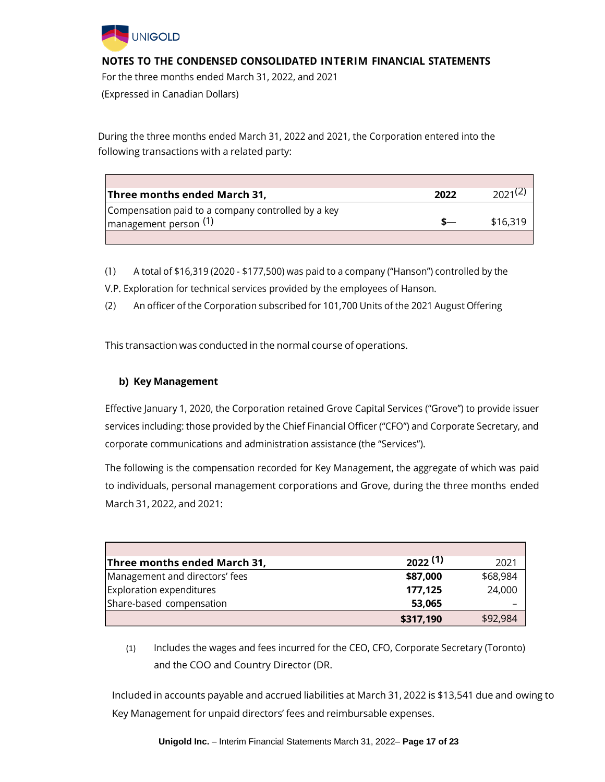

For the three months ended March 31, 2022, and 2021 (Expressed in Canadian Dollars)

During the three months ended March 31, 2022 and 2021, the Corporation entered into the following transactions with a related party:

| Three months ended March 31,                       | 2022 | 2021(2)  |
|----------------------------------------------------|------|----------|
| Compensation paid to a company controlled by a key |      |          |
| $\vert$ management person $(1)$                    |      | \$16,319 |
|                                                    |      |          |

- (1) A total of \$16,319 (2020 \$177,500) was paid to a company ("Hanson") controlled by the
- V.P. Exploration for technical services provided by the employees of Hanson.
- (2) An officer of the Corporation subscribed for 101,700 Units of the 2021 August Offering

This transaction was conducted in the normal course of operations.

## **b) Key Management**

Effective January 1, 2020, the Corporation retained Grove Capital Services ("Grove") to provide issuer services including: those provided by the Chief Financial Officer ("CFO") and Corporate Secretary, and corporate communications and administration assistance (the "Services").

The following is the compensation recorded for Key Management, the aggregate of which was paid to individuals, personal management corporations and Grove, during the three months ended March 31, 2022, and 2021:

| Three months ended March 31,    | 2022(1)   | 2021     |
|---------------------------------|-----------|----------|
| Management and directors' fees  | \$87,000  | \$68,984 |
| <b>Exploration expenditures</b> | 177,125   | 24,000   |
| Share-based compensation        | 53,065    |          |
|                                 | \$317,190 | \$92,984 |

(1) Includes the wages and fees incurred for the CEO, CFO, Corporate Secretary (Toronto) and the COO and Country Director (DR.

Included in accounts payable and accrued liabilities at March 31, 2022 is \$13,541 due and owing to Key Management for unpaid directors' fees and reimbursable expenses.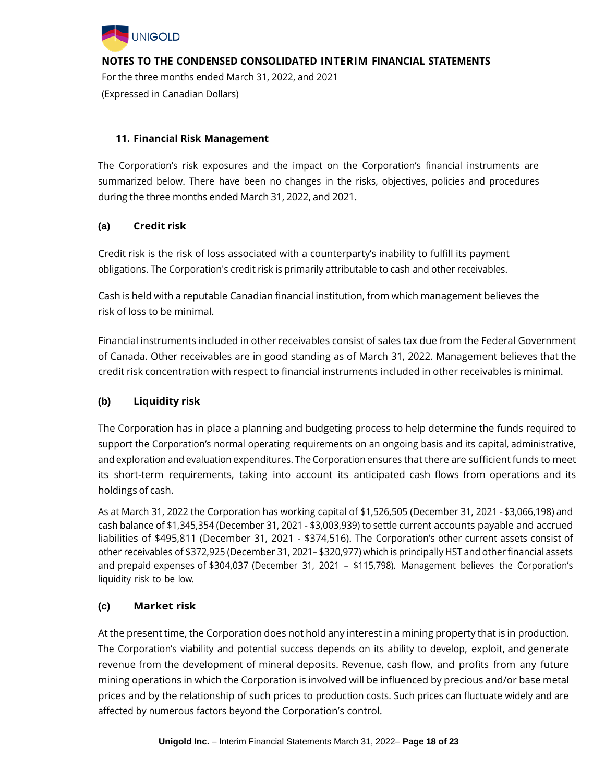

For the three months ended March 31, 2022, and 2021 (Expressed in Canadian Dollars)

# **11. Financial Risk Management**

The Corporation's risk exposures and the impact on the Corporation's financial instruments are summarized below. There have been no changes in the risks, objectives, policies and procedures during the three months ended March 31, 2022, and 2021.

# **(a) Credit risk**

Credit risk is the risk of loss associated with a counterparty's inability to fulfill its payment obligations. The Corporation's credit risk is primarily attributable to cash and other receivables.

Cash is held with a reputable Canadian financial institution, from which management believes the risk of loss to be minimal.

Financial instruments included in other receivables consist of sales tax due from the Federal Government of Canada. Other receivables are in good standing as of March 31, 2022. Management believes that the credit risk concentration with respect to financial instruments included in other receivables is minimal.

## **(b) Liquidity risk**

The Corporation has in place a planning and budgeting process to help determine the funds required to support the Corporation's normal operating requirements on an ongoing basis and its capital, administrative, and exploration and evaluation expenditures. The Corporation ensures that there are sufficient funds to meet its short-term requirements, taking into account its anticipated cash flows from operations and its holdings of cash.

As at March 31, 2022 the Corporation has working capital of \$1,526,505 (December 31, 2021 - \$3,066,198) and cash balance of \$1,345,354 (December 31, 2021 - \$3,003,939) to settle current accounts payable and accrued liabilities of \$495,811 (December 31, 2021 - \$374,516). The Corporation's other current assets consist of other receivables of \$372,925 (December 31, 2021– \$320,977) which is principally HST and other financial assets and prepaid expenses of \$304,037 (December 31, 2021 – \$115,798). Management believes the Corporation's liquidity risk to be low.

# **(c) Market risk**

At the present time, the Corporation does not hold any interest in a mining property that is in production. The Corporation's viability and potential success depends on its ability to develop, exploit, and generate revenue from the development of mineral deposits. Revenue, cash flow, and profits from any future mining operations in which the Corporation is involved will be influenced by precious and/or base metal prices and by the relationship of such prices to production costs. Such prices can fluctuate widely and are affected by numerous factors beyond the Corporation's control.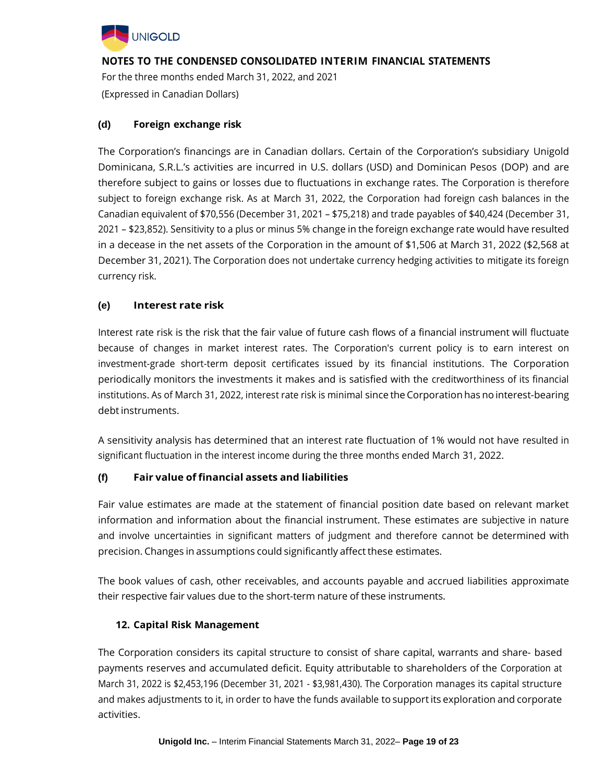

For the three months ended March 31, 2022, and 2021 (Expressed in Canadian Dollars)

## **(d) Foreign exchange risk**

The Corporation's financings are in Canadian dollars. Certain of the Corporation's subsidiary Unigold Dominicana, S.R.L.'s activities are incurred in U.S. dollars (USD) and Dominican Pesos (DOP) and are therefore subject to gains or losses due to fluctuations in exchange rates. The Corporation is therefore subject to foreign exchange risk. As at March 31, 2022, the Corporation had foreign cash balances in the Canadian equivalent of \$70,556 (December 31, 2021 – \$75,218) and trade payables of \$40,424 (December 31, 2021 – \$23,852). Sensitivity to a plus or minus 5% change in the foreign exchange rate would have resulted in a decease in the net assets of the Corporation in the amount of \$1,506 at March 31, 2022 (\$2,568 at December 31, 2021). The Corporation does not undertake currency hedging activities to mitigate its foreign currency risk.

## **(e) Interest rate risk**

Interest rate risk is the risk that the fair value of future cash flows of a financial instrument will fluctuate because of changes in market interest rates. The Corporation's current policy is to earn interest on investment-grade short-term deposit certificates issued by its financial institutions. The Corporation periodically monitors the investments it makes and is satisfied with the creditworthiness of its financial institutions. As of March 31, 2022, interest rate risk is minimal since the Corporation has no interest-bearing debt instruments.

A sensitivity analysis has determined that an interest rate fluctuation of 1% would not have resulted in significant fluctuation in the interest income during the three months ended March 31, 2022.

## **(f) Fair value of financial assets and liabilities**

Fair value estimates are made at the statement of financial position date based on relevant market information and information about the financial instrument. These estimates are subjective in nature and involve uncertainties in significant matters of judgment and therefore cannot be determined with precision. Changes in assumptions could significantly affect these estimates.

The book values of cash, other receivables, and accounts payable and accrued liabilities approximate their respective fair values due to the short-term nature of these instruments.

## **12. Capital Risk Management**

The Corporation considers its capital structure to consist of share capital, warrants and share- based payments reserves and accumulated deficit. Equity attributable to shareholders of the Corporation at March 31, 2022 is \$2,453,196 (December 31, 2021 - \$3,981,430). The Corporation manages its capital structure and makes adjustments to it, in order to have the funds available to supportits exploration and corporate activities.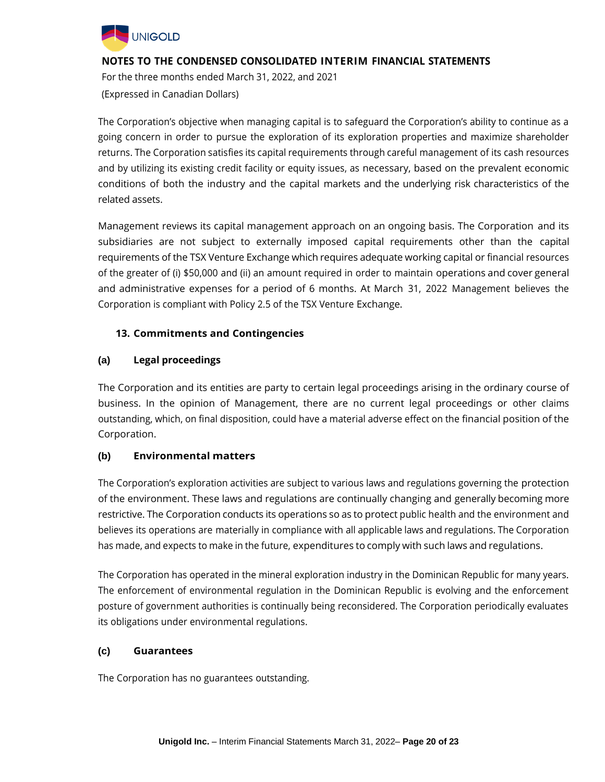

For the three months ended March 31, 2022, and 2021 (Expressed in Canadian Dollars)

The Corporation's objective when managing capital is to safeguard the Corporation's ability to continue as a going concern in order to pursue the exploration of its exploration properties and maximize shareholder returns. The Corporation satisfies its capital requirements through careful management of its cash resources and by utilizing its existing credit facility or equity issues, as necessary, based on the prevalent economic conditions of both the industry and the capital markets and the underlying risk characteristics of the related assets.

Management reviews its capital management approach on an ongoing basis. The Corporation and its subsidiaries are not subject to externally imposed capital requirements other than the capital requirements of the TSX Venture Exchange which requires adequate working capital or financial resources of the greater of (i) \$50,000 and (ii) an amount required in order to maintain operations and cover general and administrative expenses for a period of 6 months. At March 31, 2022 Management believes the Corporation is compliant with Policy 2.5 of the TSX Venture Exchange.

# **13. Commitments and Contingencies**

## **(a) Legal proceedings**

The Corporation and its entities are party to certain legal proceedings arising in the ordinary course of business. In the opinion of Management, there are no current legal proceedings or other claims outstanding, which, on final disposition, could have a material adverse effect on the financial position of the Corporation.

## **(b) Environmental matters**

The Corporation's exploration activities are subject to various laws and regulations governing the protection of the environment. These laws and regulations are continually changing and generally becoming more restrictive. The Corporation conducts its operations so as to protect public health and the environment and believes its operations are materially in compliance with all applicable laws and regulations. The Corporation has made, and expects to make in the future, expenditures to comply with such laws and regulations.

The Corporation has operated in the mineral exploration industry in the Dominican Republic for many years. The enforcement of environmental regulation in the Dominican Republic is evolving and the enforcement posture of government authorities is continually being reconsidered. The Corporation periodically evaluates its obligations under environmental regulations.

## **(c) Guarantees**

The Corporation has no guarantees outstanding.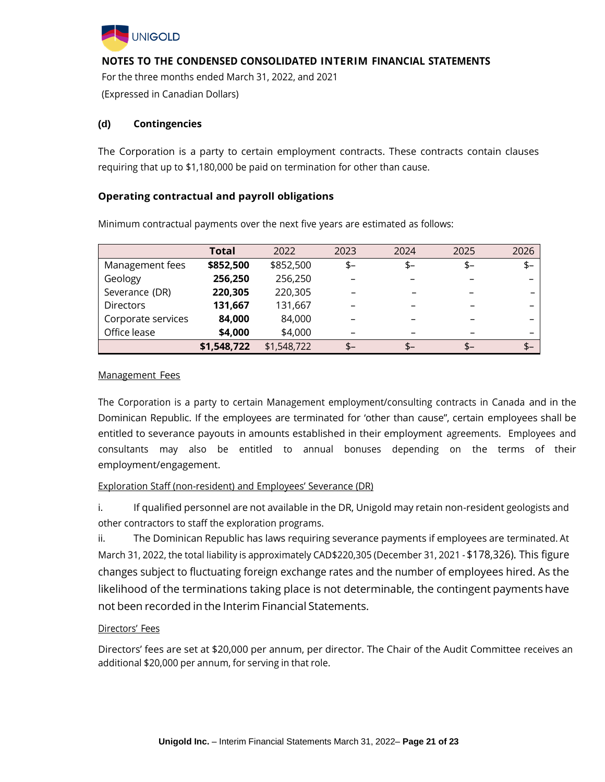

For the three months ended March 31, 2022, and 2021 (Expressed in Canadian Dollars)

### **(d) Contingencies**

The Corporation is a party to certain employment contracts. These contracts contain clauses requiring that up to \$1,180,000 be paid on termination for other than cause.

### **Operating contractual and payroll obligations**

|                    | <b>Total</b> | 2022        | 2023 | 2024 | 2025 | 2026 |
|--------------------|--------------|-------------|------|------|------|------|
| Management fees    | \$852,500    | \$852,500   | $$-$ | $$-$ | $$-$ | $$-$ |
| Geology            | 256,250      | 256,250     |      |      |      |      |
| Severance (DR)     | 220,305      | 220,305     |      |      |      |      |
| <b>Directors</b>   | 131,667      | 131,667     |      |      |      |      |
| Corporate services | 84,000       | 84,000      |      |      |      |      |
| Office lease       | \$4,000      | \$4,000     |      |      |      |      |
|                    | \$1,548,722  | \$1,548,722 | $$-$ | $$-$ | $$-$ | $$-$ |

Minimum contractual payments over the next five years are estimated as follows:

### Management Fees

The Corporation is a party to certain Management employment/consulting contracts in Canada and in the Dominican Republic. If the employees are terminated for 'other than cause", certain employees shall be entitled to severance payouts in amounts established in their employment agreements. Employees and consultants may also be entitled to annual bonuses depending on the terms of their employment/engagement.

## Exploration Staff (non-resident) and Employees' Severance (DR)

i. If qualified personnel are not available in the DR, Unigold may retain non-resident geologists and other contractors to staff the exploration programs.

ii. The Dominican Republic has laws requiring severance payments if employees are terminated. At March 31, 2022, the total liability is approximately CAD\$220,305 (December 31, 2021 -\$178,326). This figure changes subject to fluctuating foreign exchange rates and the number of employees hired. As the likelihood of the terminations taking place is not determinable, the contingent payments have not been recorded in the Interim Financial Statements.

#### Directors' Fees

Directors' fees are set at \$20,000 per annum, per director. The Chair of the Audit Committee receives an additional \$20,000 per annum, for serving in that role.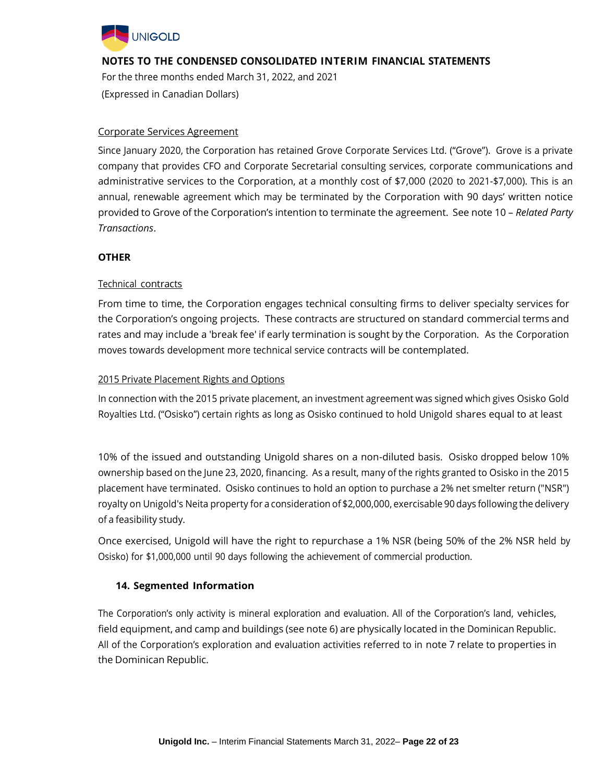

For the three months ended March 31, 2022, and 2021 (Expressed in Canadian Dollars)

### Corporate Services Agreement

Since January 2020, the Corporation has retained Grove Corporate Services Ltd. ("Grove"). Grove is a private company that provides CFO and Corporate Secretarial consulting services, corporate communications and administrative services to the Corporation, at a monthly cost of \$7,000 (2020 to 2021-\$7,000). This is an annual, renewable agreement which may be terminated by the Corporation with 90 days' written notice provided to Grove of the Corporation's intention to terminate the agreement. See note 10 – *Related Party Transactions*.

## **OTHER**

## Technical contracts

From time to time, the Corporation engages technical consulting firms to deliver specialty services for the Corporation's ongoing projects. These contracts are structured on standard commercial terms and rates and may include a 'break fee' if early termination is sought by the Corporation. As the Corporation moves towards development more technical service contracts will be contemplated.

### 2015 Private Placement Rights and Options

In connection with the 2015 private placement, an investment agreement was signed which gives Osisko Gold Royalties Ltd. ("Osisko") certain rights as long as Osisko continued to hold Unigold shares equal to at least

10% of the issued and outstanding Unigold shares on a non-diluted basis. Osisko dropped below 10% ownership based on the June 23, 2020, financing. As a result, many of the rights granted to Osisko in the 2015 placement have terminated. Osisko continues to hold an option to purchase a 2% net smelter return ("NSR") royalty on Unigold's Neita property for a consideration of \$2,000,000, exercisable 90 days following the delivery of a feasibility study.

Once exercised, Unigold will have the right to repurchase a 1% NSR (being 50% of the 2% NSR held by Osisko) for \$1,000,000 until 90 days following the achievement of commercial production.

## **14. Segmented Information**

The Corporation's only activity is mineral exploration and evaluation. All of the Corporation's land, vehicles, field equipment, and camp and buildings (see note 6) are physically located in the Dominican Republic. All of the Corporation's exploration and evaluation activities referred to in note 7 relate to properties in the Dominican Republic.